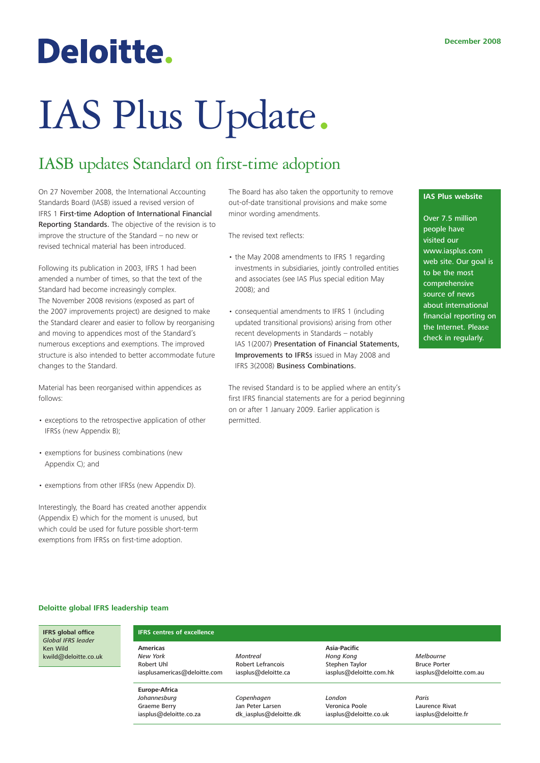## Deloitte.

# IAS Plus Update.

### IASB updates Standard on first-time adoption

On 27 November 2008, the International Accounting Standards Board (IASB) issued a revised version of IFRS 1 First-time Adoption of International Financial Reporting Standards. The objective of the revision is to improve the structure of the Standard – no new or revised technical material has been introduced.

Following its publication in 2003, IFRS 1 had been amended a number of times, so that the text of the Standard had become increasingly complex. The November 2008 revisions (exposed as part of the 2007 improvements project) are designed to make the Standard clearer and easier to follow by reorganising and moving to appendices most of the Standard's numerous exceptions and exemptions. The improved structure is also intended to better accommodate future changes to the Standard.

Material has been reorganised within appendices as follows:

- exceptions to the retrospective application of other IFRSs (new Appendix B);
- exemptions for business combinations (new Appendix C); and
- exemptions from other IFRSs (new Appendix D).

Interestingly, the Board has created another appendix (Appendix E) which for the moment is unused, but which could be used for future possible short-term exemptions from IFRSs on first-time adoption.

The Board has also taken the opportunity to remove out-of-date transitional provisions and make some minor wording amendments.

The revised text reflects:

- the May 2008 amendments to IFRS 1 regarding investments in subsidiaries, jointly controlled entities and associates (see IAS Plus special edition May 2008); and
- consequential amendments to IFRS 1 (including updated transitional provisions) arising from other recent developments in Standards – notably IAS 1(2007) Presentation of Financial Statements, Improvements to IFRSs issued in May 2008 and IFRS 3(2008) Business Combinations.

The revised Standard is to be applied where an entity's first IFRS financial statements are for a period beginning on or after 1 January 2009. Earlier application is permitted.

#### **IAS Plus website**

Over 7.5 million people have visited our www.iasplus.com web site. Our goal is to be the most comprehensive source of news about international financial reporting on the Internet. Please check in regularly.

#### **Deloitte global IFRS leadership team**

**Americas** *New York* Robert Uhl

**Europe-Africa** *Johannesburg* Graeme Berry iasplus@deloitte.co.za

**IFRS global office** *Global IFRS leader* Ken Wild kwild@deloitte.co.uk

## **IFRS centres of excellence**

iasplusamericas@deloitte.com *Montreal* Robert Lefrancois iasplus@deloitte.ca

> *Copenhagen* Jan Peter Larsen [dk\\_iasplus@deloitte.dk](mailto: dk_iasplus@deloitte.dk)

**Asia-Pacific** *Hong Kong* Stephen Taylor iasplus@deloitte.com.hk

*London* Veronica Poole iasplus@deloitte.co.uk *Melbourne* Bruce Porter iasplus@deloitte.com.au

*Paris* Laurence Rivat iasplus@deloitte.fr